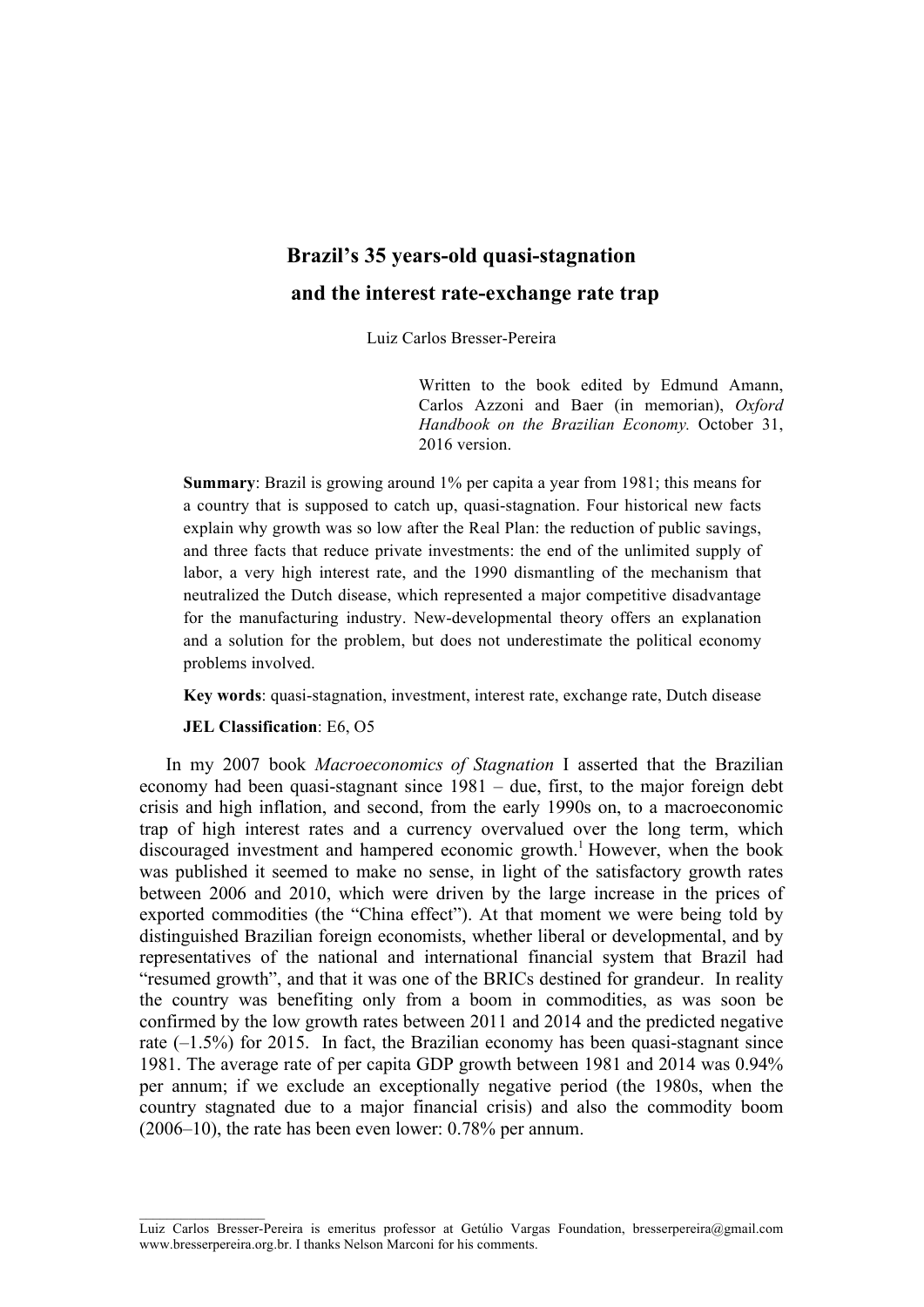# **Brazil's 35 years-old quasi-stagnation and the interest rate-exchange rate trap**

Luiz Carlos Bresser-Pereira

Written to the book edited by Edmund Amann, Carlos Azzoni and Baer (in memorian), *Oxford Handbook on the Brazilian Economy.* October 31, 2016 version.

**Summary**: Brazil is growing around 1% per capita a year from 1981; this means for a country that is supposed to catch up, quasi-stagnation. Four historical new facts explain why growth was so low after the Real Plan: the reduction of public savings, and three facts that reduce private investments: the end of the unlimited supply of labor, a very high interest rate, and the 1990 dismantling of the mechanism that neutralized the Dutch disease, which represented a major competitive disadvantage for the manufacturing industry. New-developmental theory offers an explanation and a solution for the problem, but does not underestimate the political economy problems involved.

**Key words**: quasi-stagnation, investment, interest rate, exchange rate, Dutch disease

#### **JEL Classification**: E6, O5

 $\mathcal{L}_\text{max}$ 

In my 2007 book *Macroeconomics of Stagnation* I asserted that the Brazilian economy had been quasi-stagnant since 1981 – due, first, to the major foreign debt crisis and high inflation, and second, from the early 1990s on, to a macroeconomic trap of high interest rates and a currency overvalued over the long term, which discouraged investment and hampered economic growth. <sup>1</sup> However, when the book was published it seemed to make no sense, in light of the satisfactory growth rates between 2006 and 2010, which were driven by the large increase in the prices of exported commodities (the "China effect"). At that moment we were being told by distinguished Brazilian foreign economists, whether liberal or developmental, and by representatives of the national and international financial system that Brazil had "resumed growth", and that it was one of the BRICs destined for grandeur. In reality the country was benefiting only from a boom in commodities, as was soon be confirmed by the low growth rates between 2011 and 2014 and the predicted negative rate  $(-1.5\%)$  for 2015. In fact, the Brazilian economy has been quasi-stagnant since 1981. The average rate of per capita GDP growth between 1981 and 2014 was 0.94% per annum; if we exclude an exceptionally negative period (the 1980s, when the country stagnated due to a major financial crisis) and also the commodity boom (2006–10), the rate has been even lower: 0.78% per annum.

Luiz Carlos Bresser-Pereira is emeritus professor at Getúlio Vargas Foundation, bresserpereira@gmail.com www.bresserpereira.org.br. I thanks Nelson Marconi for his comments.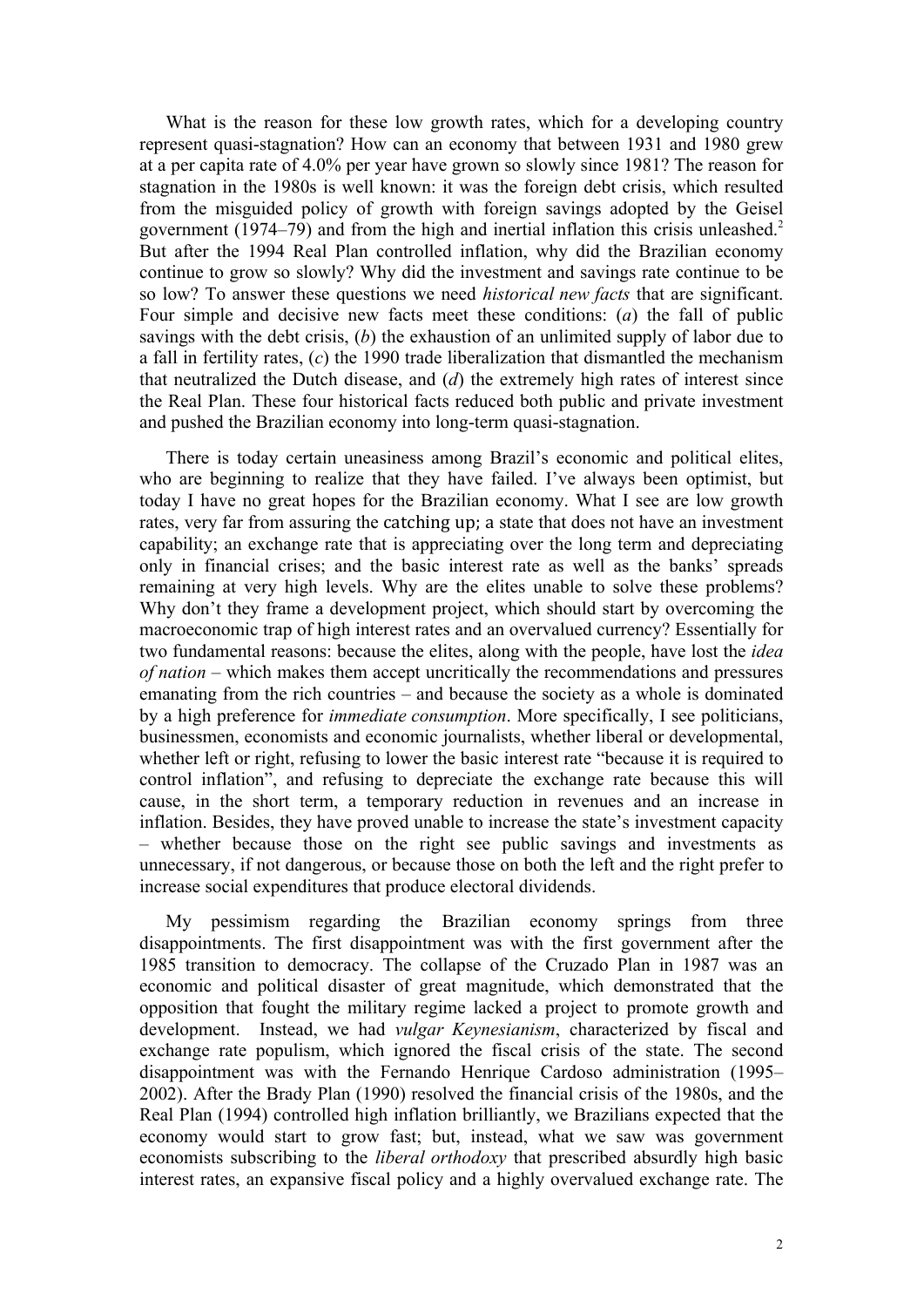What is the reason for these low growth rates, which for a developing country represent quasi-stagnation? How can an economy that between 1931 and 1980 grew at a per capita rate of 4.0% per year have grown so slowly since 1981? The reason for stagnation in the 1980s is well known: it was the foreign debt crisis, which resulted from the misguided policy of growth with foreign savings adopted by the Geisel government (1974–79) and from the high and inertial inflation this crisis unleashed.2 But after the 1994 Real Plan controlled inflation, why did the Brazilian economy continue to grow so slowly? Why did the investment and savings rate continue to be so low? To answer these questions we need *historical new facts* that are significant. Four simple and decisive new facts meet these conditions: (*a*) the fall of public savings with the debt crisis, (*b*) the exhaustion of an unlimited supply of labor due to a fall in fertility rates, (*c*) the 1990 trade liberalization that dismantled the mechanism that neutralized the Dutch disease, and (*d*) the extremely high rates of interest since the Real Plan. These four historical facts reduced both public and private investment and pushed the Brazilian economy into long-term quasi-stagnation.

There is today certain uneasiness among Brazil's economic and political elites, who are beginning to realize that they have failed. I've always been optimist, but today I have no great hopes for the Brazilian economy. What I see are low growth rates, very far from assuring the catching up; a state that does not have an investment capability; an exchange rate that is appreciating over the long term and depreciating only in financial crises; and the basic interest rate as well as the banks' spreads remaining at very high levels. Why are the elites unable to solve these problems? Why don't they frame a development project, which should start by overcoming the macroeconomic trap of high interest rates and an overvalued currency? Essentially for two fundamental reasons: because the elites, along with the people, have lost the *idea of nation* – which makes them accept uncritically the recommendations and pressures emanating from the rich countries – and because the society as a whole is dominated by a high preference for *immediate consumption*. More specifically, I see politicians, businessmen, economists and economic journalists, whether liberal or developmental, whether left or right, refusing to lower the basic interest rate "because it is required to control inflation", and refusing to depreciate the exchange rate because this will cause, in the short term, a temporary reduction in revenues and an increase in inflation. Besides, they have proved unable to increase the state's investment capacity – whether because those on the right see public savings and investments as unnecessary, if not dangerous, or because those on both the left and the right prefer to increase social expenditures that produce electoral dividends.

My pessimism regarding the Brazilian economy springs from three disappointments. The first disappointment was with the first government after the 1985 transition to democracy. The collapse of the Cruzado Plan in 1987 was an economic and political disaster of great magnitude, which demonstrated that the opposition that fought the military regime lacked a project to promote growth and development. Instead, we had *vulgar Keynesianism*, characterized by fiscal and exchange rate populism, which ignored the fiscal crisis of the state. The second disappointment was with the Fernando Henrique Cardoso administration (1995– 2002). After the Brady Plan (1990) resolved the financial crisis of the 1980s, and the Real Plan (1994) controlled high inflation brilliantly, we Brazilians expected that the economy would start to grow fast; but, instead, what we saw was government economists subscribing to the *liberal orthodoxy* that prescribed absurdly high basic interest rates, an expansive fiscal policy and a highly overvalued exchange rate. The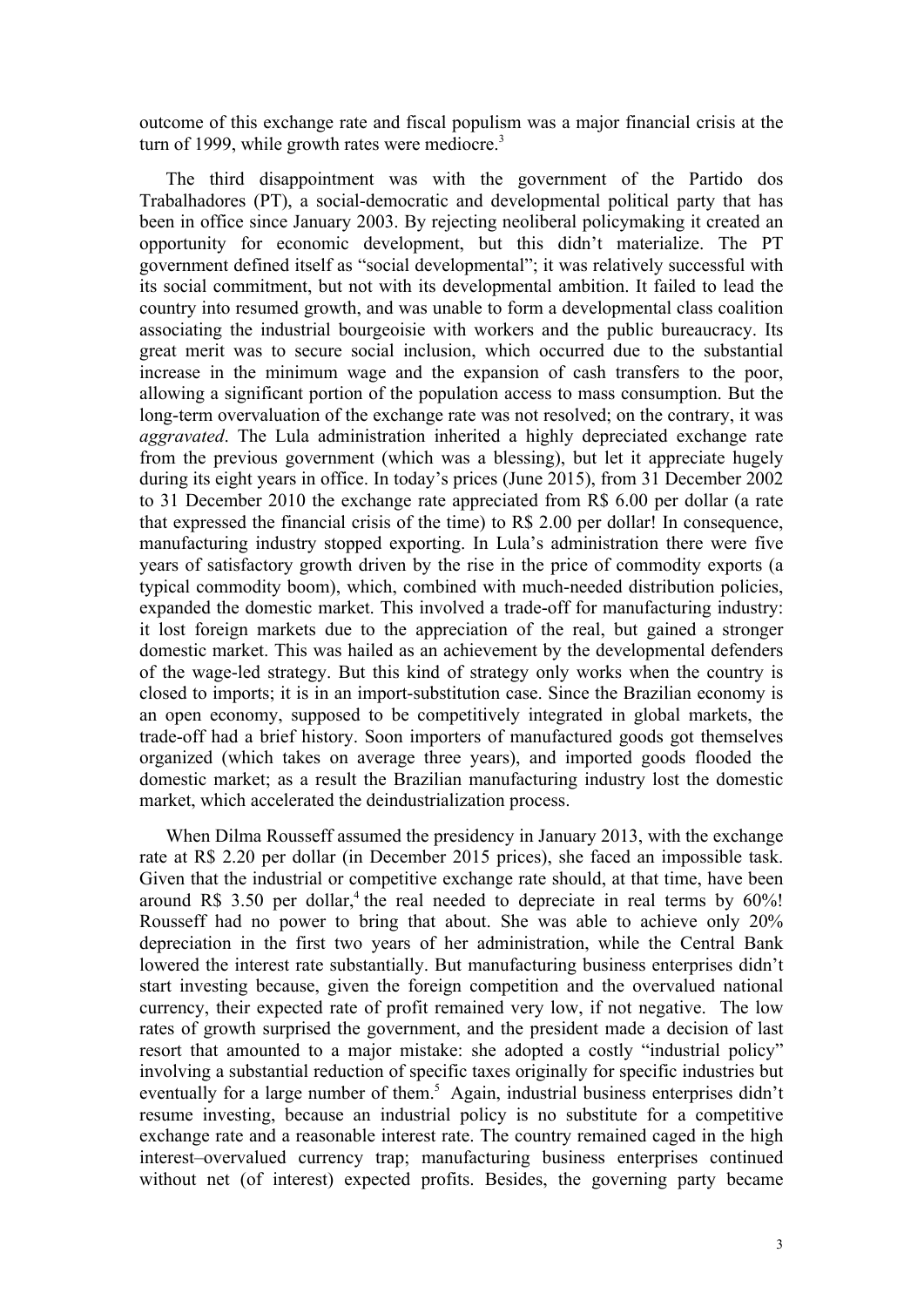outcome of this exchange rate and fiscal populism was a major financial crisis at the turn of 1999, while growth rates were mediocre.<sup>3</sup>

The third disappointment was with the government of the Partido dos Trabalhadores (PT), a social-democratic and developmental political party that has been in office since January 2003. By rejecting neoliberal policymaking it created an opportunity for economic development, but this didn't materialize. The PT government defined itself as "social developmental"; it was relatively successful with its social commitment, but not with its developmental ambition. It failed to lead the country into resumed growth, and was unable to form a developmental class coalition associating the industrial bourgeoisie with workers and the public bureaucracy. Its great merit was to secure social inclusion, which occurred due to the substantial increase in the minimum wage and the expansion of cash transfers to the poor, allowing a significant portion of the population access to mass consumption. But the long-term overvaluation of the exchange rate was not resolved; on the contrary, it was *aggravated*. The Lula administration inherited a highly depreciated exchange rate from the previous government (which was a blessing), but let it appreciate hugely during its eight years in office. In today's prices (June 2015), from 31 December 2002 to 31 December 2010 the exchange rate appreciated from R\$ 6.00 per dollar (a rate that expressed the financial crisis of the time) to R\$ 2.00 per dollar! In consequence, manufacturing industry stopped exporting. In Lula's administration there were five years of satisfactory growth driven by the rise in the price of commodity exports (a typical commodity boom), which, combined with much-needed distribution policies, expanded the domestic market. This involved a trade-off for manufacturing industry: it lost foreign markets due to the appreciation of the real, but gained a stronger domestic market. This was hailed as an achievement by the developmental defenders of the wage-led strategy. But this kind of strategy only works when the country is closed to imports; it is in an import-substitution case. Since the Brazilian economy is an open economy, supposed to be competitively integrated in global markets, the trade-off had a brief history. Soon importers of manufactured goods got themselves organized (which takes on average three years), and imported goods flooded the domestic market; as a result the Brazilian manufacturing industry lost the domestic market, which accelerated the deindustrialization process.

When Dilma Rousseff assumed the presidency in January 2013, with the exchange rate at R\$ 2.20 per dollar (in December 2015 prices), she faced an impossible task. Given that the industrial or competitive exchange rate should, at that time, have been around R\$ 3.50 per dollar,<sup>4</sup> the real needed to depreciate in real terms by  $60\%$ ! Rousseff had no power to bring that about. She was able to achieve only 20% depreciation in the first two years of her administration, while the Central Bank lowered the interest rate substantially. But manufacturing business enterprises didn't start investing because, given the foreign competition and the overvalued national currency, their expected rate of profit remained very low, if not negative. The low rates of growth surprised the government, and the president made a decision of last resort that amounted to a major mistake: she adopted a costly "industrial policy" involving a substantial reduction of specific taxes originally for specific industries but eventually for a large number of them.<sup>5</sup> Again, industrial business enterprises didn't resume investing, because an industrial policy is no substitute for a competitive exchange rate and a reasonable interest rate. The country remained caged in the high interest–overvalued currency trap; manufacturing business enterprises continued without net (of interest) expected profits. Besides, the governing party became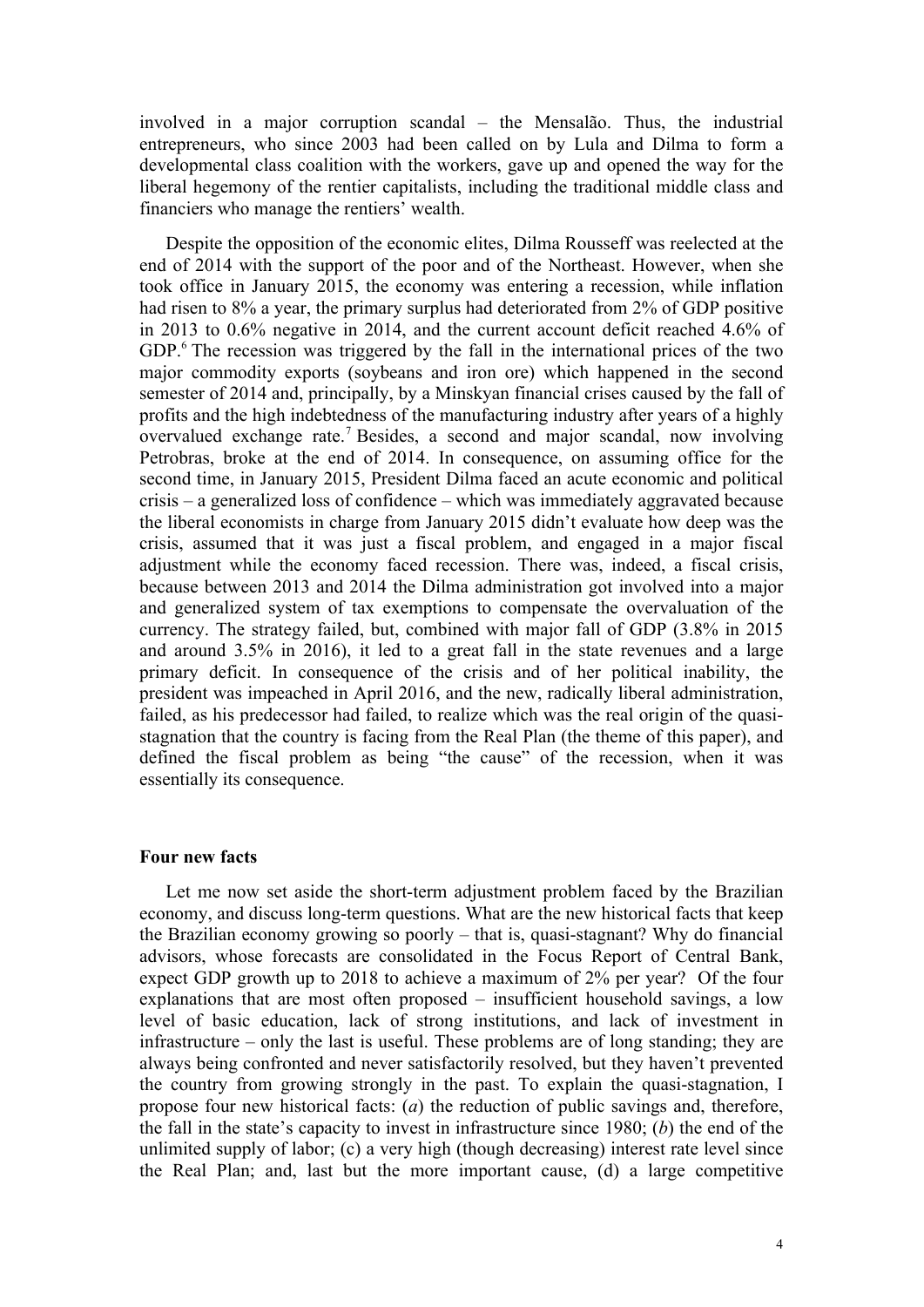involved in a major corruption scandal – the Mensalão. Thus, the industrial entrepreneurs, who since 2003 had been called on by Lula and Dilma to form a developmental class coalition with the workers, gave up and opened the way for the liberal hegemony of the rentier capitalists, including the traditional middle class and financiers who manage the rentiers' wealth.

Despite the opposition of the economic elites, Dilma Rousseff was reelected at the end of 2014 with the support of the poor and of the Northeast. However, when she took office in January 2015, the economy was entering a recession, while inflation had risen to 8% a year, the primary surplus had deteriorated from 2% of GDP positive in 2013 to 0.6% negative in 2014, and the current account deficit reached 4.6% of GDP.<sup>6</sup> The recession was triggered by the fall in the international prices of the two major commodity exports (soybeans and iron ore) which happened in the second semester of 2014 and, principally, by a Minskyan financial crises caused by the fall of profits and the high indebtedness of the manufacturing industry after years of a highly overvalued exchange rate. <sup>7</sup> Besides, a second and major scandal, now involving Petrobras, broke at the end of 2014. In consequence, on assuming office for the second time, in January 2015, President Dilma faced an acute economic and political crisis – a generalized loss of confidence – which was immediately aggravated because the liberal economists in charge from January 2015 didn't evaluate how deep was the crisis, assumed that it was just a fiscal problem, and engaged in a major fiscal adjustment while the economy faced recession. There was, indeed, a fiscal crisis, because between 2013 and 2014 the Dilma administration got involved into a major and generalized system of tax exemptions to compensate the overvaluation of the currency. The strategy failed, but, combined with major fall of GDP (3.8% in 2015 and around 3.5% in 2016), it led to a great fall in the state revenues and a large primary deficit. In consequence of the crisis and of her political inability, the president was impeached in April 2016, and the new, radically liberal administration, failed, as his predecessor had failed, to realize which was the real origin of the quasistagnation that the country is facing from the Real Plan (the theme of this paper), and defined the fiscal problem as being "the cause" of the recession, when it was essentially its consequence.

### **Four new facts**

Let me now set aside the short-term adjustment problem faced by the Brazilian economy, and discuss long-term questions. What are the new historical facts that keep the Brazilian economy growing so poorly – that is, quasi-stagnant? Why do financial advisors, whose forecasts are consolidated in the Focus Report of Central Bank, expect GDP growth up to 2018 to achieve a maximum of 2% per year? Of the four explanations that are most often proposed – insufficient household savings, a low level of basic education, lack of strong institutions, and lack of investment in infrastructure – only the last is useful. These problems are of long standing; they are always being confronted and never satisfactorily resolved, but they haven't prevented the country from growing strongly in the past. To explain the quasi-stagnation, I propose four new historical facts: (*a*) the reduction of public savings and, therefore, the fall in the state's capacity to invest in infrastructure since 1980; (*b*) the end of the unlimited supply of labor; (c) a very high (though decreasing) interest rate level since the Real Plan; and, last but the more important cause, (d) a large competitive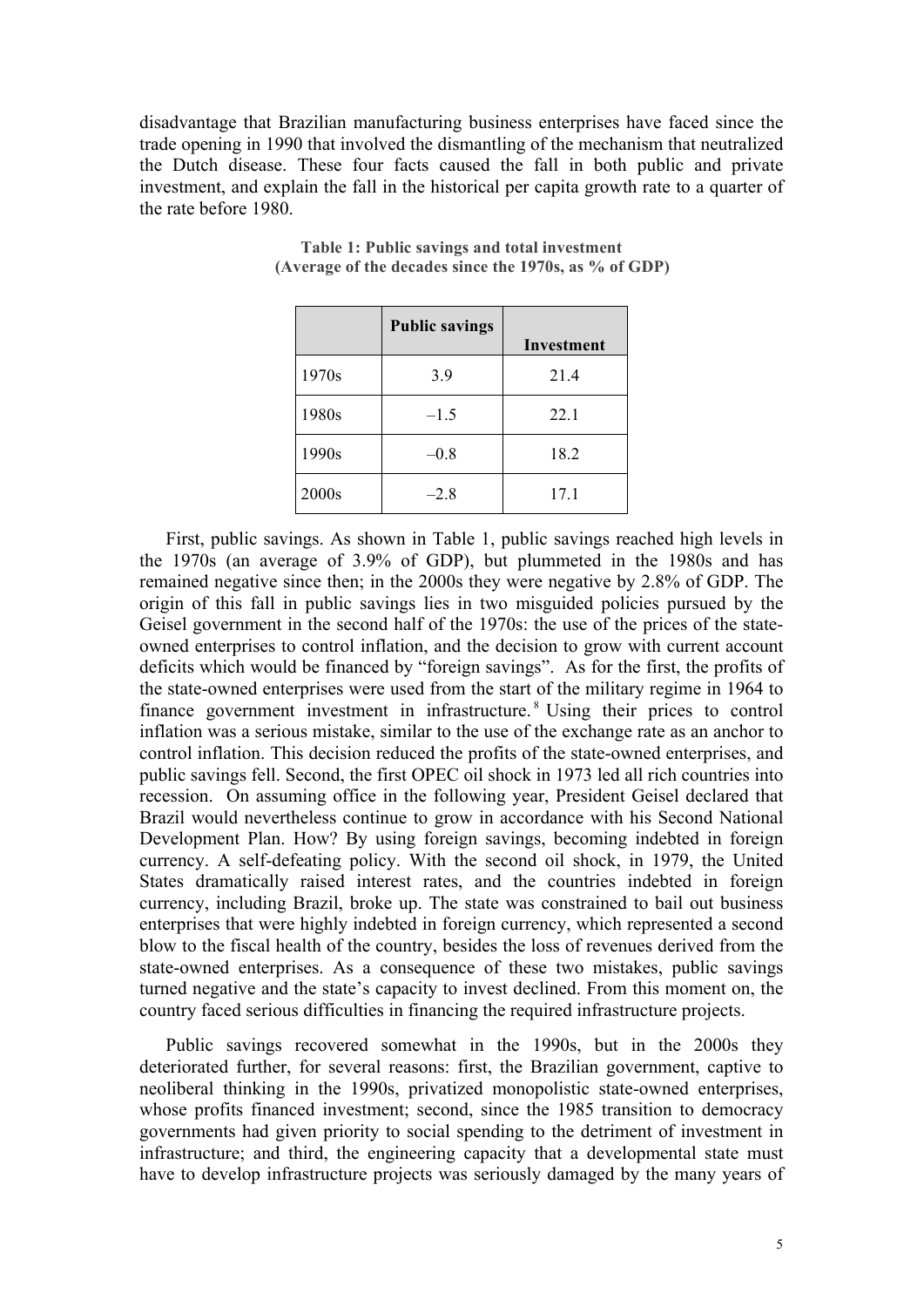disadvantage that Brazilian manufacturing business enterprises have faced since the trade opening in 1990 that involved the dismantling of the mechanism that neutralized the Dutch disease. These four facts caused the fall in both public and private investment, and explain the fall in the historical per capita growth rate to a quarter of the rate before 1980.

|       | <b>Public savings</b> | Investment |
|-------|-----------------------|------------|
| 1970s | 3.9                   | 21.4       |
| 1980s | $-1.5$                | 22.1       |
| 1990s | $-0.8$                | 18.2       |
| 2000s | $-2.8$                | 17.1       |

#### **Table 1: Public savings and total investment (Average of the decades since the 1970s, as % of GDP)**

First, public savings. As shown in Table 1, public savings reached high levels in the 1970s (an average of 3.9% of GDP), but plummeted in the 1980s and has remained negative since then; in the 2000s they were negative by 2.8% of GDP. The origin of this fall in public savings lies in two misguided policies pursued by the Geisel government in the second half of the 1970s: the use of the prices of the stateowned enterprises to control inflation, and the decision to grow with current account deficits which would be financed by "foreign savings". As for the first, the profits of the state-owned enterprises were used from the start of the military regime in 1964 to finance government investment in infrastructure. <sup>8</sup> Using their prices to control inflation was a serious mistake, similar to the use of the exchange rate as an anchor to control inflation. This decision reduced the profits of the state-owned enterprises, and public savings fell. Second, the first OPEC oil shock in 1973 led all rich countries into recession. On assuming office in the following year, President Geisel declared that Brazil would nevertheless continue to grow in accordance with his Second National Development Plan. How? By using foreign savings, becoming indebted in foreign currency. A self-defeating policy. With the second oil shock, in 1979, the United States dramatically raised interest rates, and the countries indebted in foreign currency, including Brazil, broke up. The state was constrained to bail out business enterprises that were highly indebted in foreign currency, which represented a second blow to the fiscal health of the country, besides the loss of revenues derived from the state-owned enterprises. As a consequence of these two mistakes, public savings turned negative and the state's capacity to invest declined. From this moment on, the country faced serious difficulties in financing the required infrastructure projects.

Public savings recovered somewhat in the 1990s, but in the 2000s they deteriorated further, for several reasons: first, the Brazilian government, captive to neoliberal thinking in the 1990s, privatized monopolistic state-owned enterprises, whose profits financed investment; second, since the 1985 transition to democracy governments had given priority to social spending to the detriment of investment in infrastructure; and third, the engineering capacity that a developmental state must have to develop infrastructure projects was seriously damaged by the many years of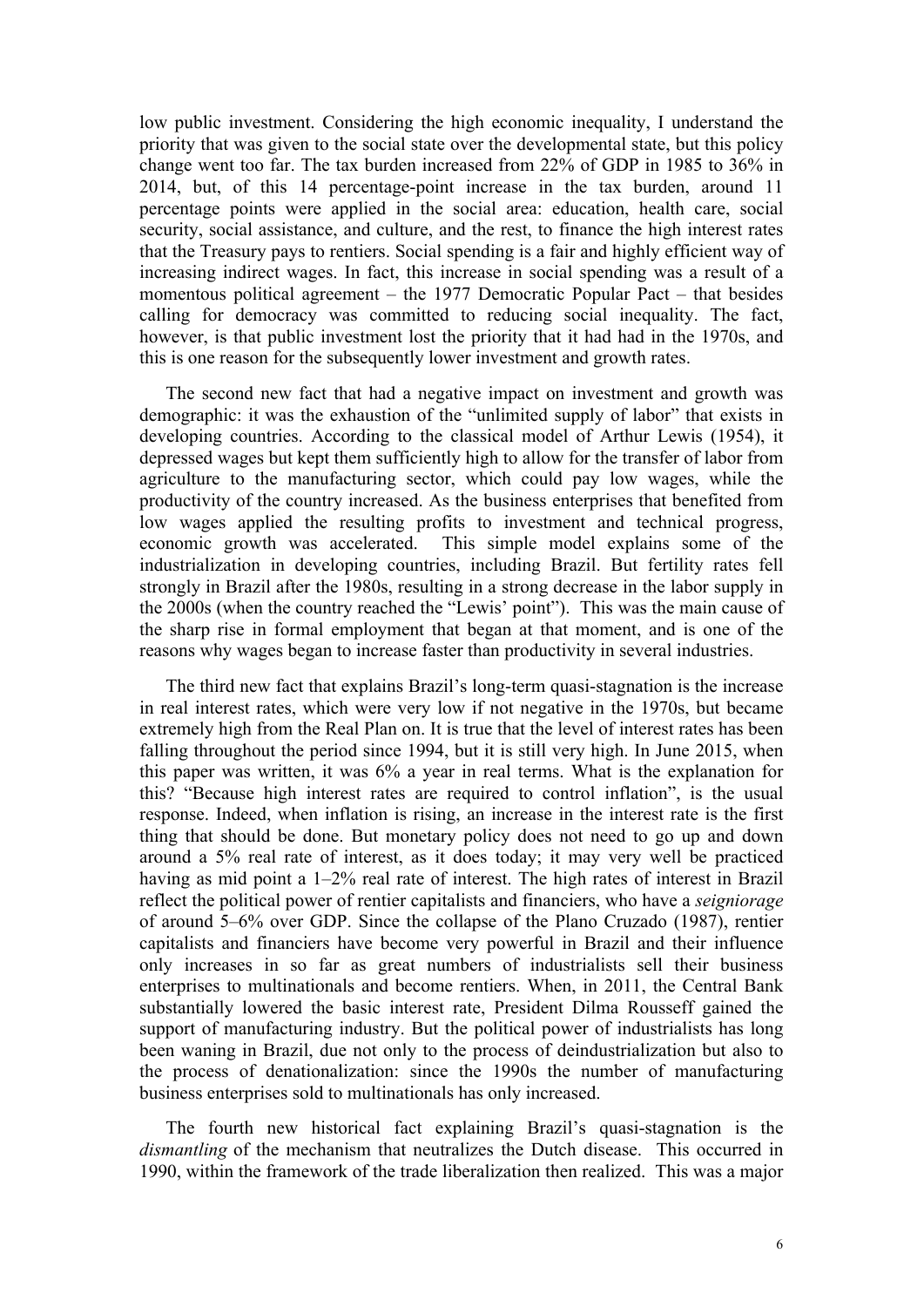low public investment. Considering the high economic inequality, I understand the priority that was given to the social state over the developmental state, but this policy change went too far. The tax burden increased from 22% of GDP in 1985 to 36% in 2014, but, of this 14 percentage-point increase in the tax burden, around 11 percentage points were applied in the social area: education, health care, social security, social assistance, and culture, and the rest, to finance the high interest rates that the Treasury pays to rentiers. Social spending is a fair and highly efficient way of increasing indirect wages. In fact, this increase in social spending was a result of a momentous political agreement – the 1977 Democratic Popular Pact – that besides calling for democracy was committed to reducing social inequality. The fact, however, is that public investment lost the priority that it had had in the 1970s, and this is one reason for the subsequently lower investment and growth rates.

The second new fact that had a negative impact on investment and growth was demographic: it was the exhaustion of the "unlimited supply of labor" that exists in developing countries. According to the classical model of Arthur Lewis (1954), it depressed wages but kept them sufficiently high to allow for the transfer of labor from agriculture to the manufacturing sector, which could pay low wages, while the productivity of the country increased. As the business enterprises that benefited from low wages applied the resulting profits to investment and technical progress, economic growth was accelerated. This simple model explains some of the industrialization in developing countries, including Brazil. But fertility rates fell strongly in Brazil after the 1980s, resulting in a strong decrease in the labor supply in the 2000s (when the country reached the "Lewis' point"). This was the main cause of the sharp rise in formal employment that began at that moment, and is one of the reasons why wages began to increase faster than productivity in several industries.

The third new fact that explains Brazil's long-term quasi-stagnation is the increase in real interest rates, which were very low if not negative in the 1970s, but became extremely high from the Real Plan on. It is true that the level of interest rates has been falling throughout the period since 1994, but it is still very high. In June 2015, when this paper was written, it was 6% a year in real terms. What is the explanation for this? "Because high interest rates are required to control inflation", is the usual response. Indeed, when inflation is rising, an increase in the interest rate is the first thing that should be done. But monetary policy does not need to go up and down around a 5% real rate of interest, as it does today; it may very well be practiced having as mid point a 1–2% real rate of interest. The high rates of interest in Brazil reflect the political power of rentier capitalists and financiers, who have a *seigniorage* of around 5–6% over GDP. Since the collapse of the Plano Cruzado (1987), rentier capitalists and financiers have become very powerful in Brazil and their influence only increases in so far as great numbers of industrialists sell their business enterprises to multinationals and become rentiers. When, in 2011, the Central Bank substantially lowered the basic interest rate, President Dilma Rousseff gained the support of manufacturing industry. But the political power of industrialists has long been waning in Brazil, due not only to the process of deindustrialization but also to the process of denationalization: since the 1990s the number of manufacturing business enterprises sold to multinationals has only increased.

The fourth new historical fact explaining Brazil's quasi-stagnation is the *dismantling* of the mechanism that neutralizes the Dutch disease. This occurred in 1990, within the framework of the trade liberalization then realized. This was a major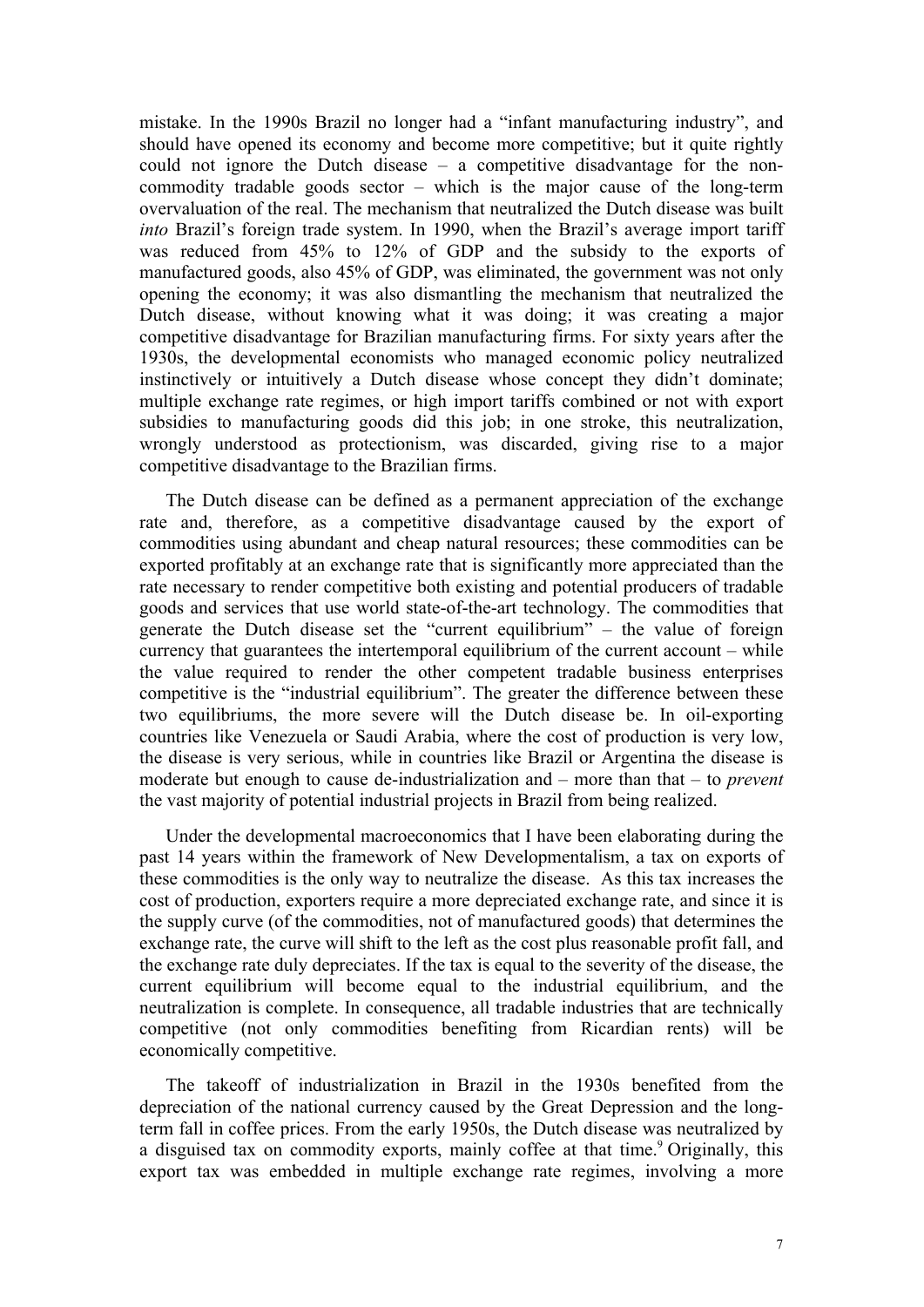mistake. In the 1990s Brazil no longer had a "infant manufacturing industry", and should have opened its economy and become more competitive; but it quite rightly could not ignore the Dutch disease – a competitive disadvantage for the noncommodity tradable goods sector – which is the major cause of the long-term overvaluation of the real. The mechanism that neutralized the Dutch disease was built *into* Brazil's foreign trade system. In 1990, when the Brazil's average import tariff was reduced from 45% to 12% of GDP and the subsidy to the exports of manufactured goods, also 45% of GDP, was eliminated, the government was not only opening the economy; it was also dismantling the mechanism that neutralized the Dutch disease, without knowing what it was doing; it was creating a major competitive disadvantage for Brazilian manufacturing firms. For sixty years after the 1930s, the developmental economists who managed economic policy neutralized instinctively or intuitively a Dutch disease whose concept they didn't dominate; multiple exchange rate regimes, or high import tariffs combined or not with export subsidies to manufacturing goods did this job; in one stroke, this neutralization, wrongly understood as protectionism, was discarded, giving rise to a major competitive disadvantage to the Brazilian firms.

The Dutch disease can be defined as a permanent appreciation of the exchange rate and, therefore, as a competitive disadvantage caused by the export of commodities using abundant and cheap natural resources; these commodities can be exported profitably at an exchange rate that is significantly more appreciated than the rate necessary to render competitive both existing and potential producers of tradable goods and services that use world state-of-the-art technology. The commodities that generate the Dutch disease set the "current equilibrium" – the value of foreign currency that guarantees the intertemporal equilibrium of the current account – while the value required to render the other competent tradable business enterprises competitive is the "industrial equilibrium". The greater the difference between these two equilibriums, the more severe will the Dutch disease be. In oil-exporting countries like Venezuela or Saudi Arabia, where the cost of production is very low, the disease is very serious, while in countries like Brazil or Argentina the disease is moderate but enough to cause de-industrialization and – more than that – to *prevent* the vast majority of potential industrial projects in Brazil from being realized.

Under the developmental macroeconomics that I have been elaborating during the past 14 years within the framework of New Developmentalism, a tax on exports of these commodities is the only way to neutralize the disease. As this tax increases the cost of production, exporters require a more depreciated exchange rate, and since it is the supply curve (of the commodities, not of manufactured goods) that determines the exchange rate, the curve will shift to the left as the cost plus reasonable profit fall, and the exchange rate duly depreciates. If the tax is equal to the severity of the disease, the current equilibrium will become equal to the industrial equilibrium, and the neutralization is complete. In consequence, all tradable industries that are technically competitive (not only commodities benefiting from Ricardian rents) will be economically competitive.

The takeoff of industrialization in Brazil in the 1930s benefited from the depreciation of the national currency caused by the Great Depression and the longterm fall in coffee prices. From the early 1950s, the Dutch disease was neutralized by a disguised tax on commodity exports, mainly coffee at that time.<sup>9</sup> Originally, this export tax was embedded in multiple exchange rate regimes, involving a more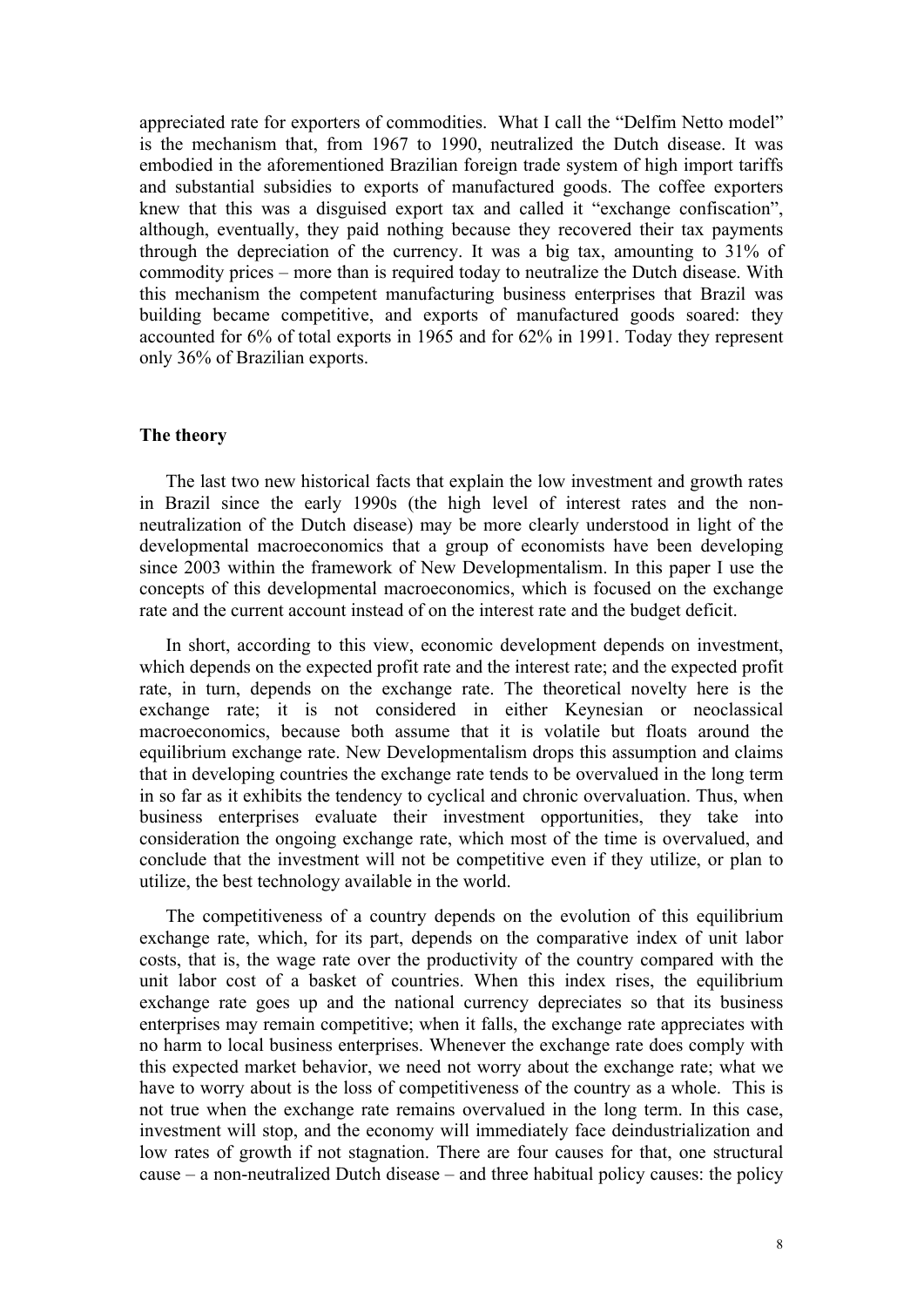appreciated rate for exporters of commodities. What I call the "Delfim Netto model" is the mechanism that, from 1967 to 1990, neutralized the Dutch disease. It was embodied in the aforementioned Brazilian foreign trade system of high import tariffs and substantial subsidies to exports of manufactured goods. The coffee exporters knew that this was a disguised export tax and called it "exchange confiscation", although, eventually, they paid nothing because they recovered their tax payments through the depreciation of the currency. It was a big tax, amounting to 31% of commodity prices – more than is required today to neutralize the Dutch disease. With this mechanism the competent manufacturing business enterprises that Brazil was building became competitive, and exports of manufactured goods soared: they accounted for 6% of total exports in 1965 and for 62% in 1991. Today they represent only 36% of Brazilian exports.

# **The theory**

The last two new historical facts that explain the low investment and growth rates in Brazil since the early 1990s (the high level of interest rates and the nonneutralization of the Dutch disease) may be more clearly understood in light of the developmental macroeconomics that a group of economists have been developing since 2003 within the framework of New Developmentalism. In this paper I use the concepts of this developmental macroeconomics, which is focused on the exchange rate and the current account instead of on the interest rate and the budget deficit.

In short, according to this view, economic development depends on investment, which depends on the expected profit rate and the interest rate; and the expected profit rate, in turn, depends on the exchange rate. The theoretical novelty here is the exchange rate; it is not considered in either Keynesian or neoclassical macroeconomics, because both assume that it is volatile but floats around the equilibrium exchange rate. New Developmentalism drops this assumption and claims that in developing countries the exchange rate tends to be overvalued in the long term in so far as it exhibits the tendency to cyclical and chronic overvaluation. Thus, when business enterprises evaluate their investment opportunities, they take into consideration the ongoing exchange rate, which most of the time is overvalued, and conclude that the investment will not be competitive even if they utilize, or plan to utilize, the best technology available in the world.

The competitiveness of a country depends on the evolution of this equilibrium exchange rate, which, for its part, depends on the comparative index of unit labor costs, that is, the wage rate over the productivity of the country compared with the unit labor cost of a basket of countries. When this index rises, the equilibrium exchange rate goes up and the national currency depreciates so that its business enterprises may remain competitive; when it falls, the exchange rate appreciates with no harm to local business enterprises. Whenever the exchange rate does comply with this expected market behavior, we need not worry about the exchange rate; what we have to worry about is the loss of competitiveness of the country as a whole. This is not true when the exchange rate remains overvalued in the long term. In this case, investment will stop, and the economy will immediately face deindustrialization and low rates of growth if not stagnation. There are four causes for that, one structural cause – a non-neutralized Dutch disease – and three habitual policy causes: the policy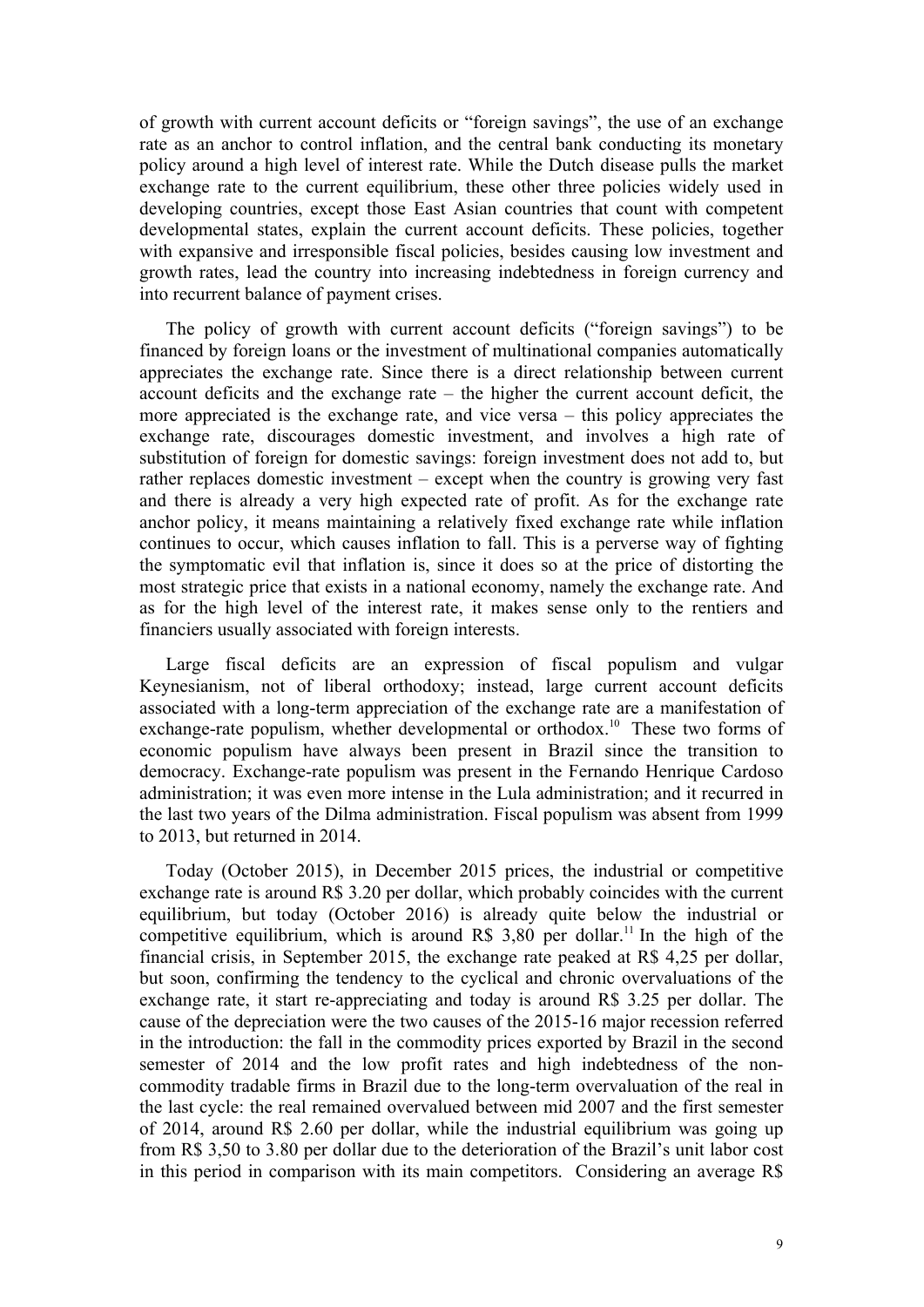of growth with current account deficits or "foreign savings", the use of an exchange rate as an anchor to control inflation, and the central bank conducting its monetary policy around a high level of interest rate. While the Dutch disease pulls the market exchange rate to the current equilibrium, these other three policies widely used in developing countries, except those East Asian countries that count with competent developmental states, explain the current account deficits. These policies, together with expansive and irresponsible fiscal policies, besides causing low investment and growth rates, lead the country into increasing indebtedness in foreign currency and into recurrent balance of payment crises.

The policy of growth with current account deficits ("foreign savings") to be financed by foreign loans or the investment of multinational companies automatically appreciates the exchange rate. Since there is a direct relationship between current account deficits and the exchange rate – the higher the current account deficit, the more appreciated is the exchange rate, and vice versa – this policy appreciates the exchange rate, discourages domestic investment, and involves a high rate of substitution of foreign for domestic savings: foreign investment does not add to, but rather replaces domestic investment – except when the country is growing very fast and there is already a very high expected rate of profit. As for the exchange rate anchor policy, it means maintaining a relatively fixed exchange rate while inflation continues to occur, which causes inflation to fall. This is a perverse way of fighting the symptomatic evil that inflation is, since it does so at the price of distorting the most strategic price that exists in a national economy, namely the exchange rate. And as for the high level of the interest rate, it makes sense only to the rentiers and financiers usually associated with foreign interests.

Large fiscal deficits are an expression of fiscal populism and vulgar Keynesianism, not of liberal orthodoxy; instead, large current account deficits associated with a long-term appreciation of the exchange rate are a manifestation of exchange-rate populism, whether developmental or orthodox.<sup>10</sup> These two forms of economic populism have always been present in Brazil since the transition to democracy. Exchange-rate populism was present in the Fernando Henrique Cardoso administration; it was even more intense in the Lula administration; and it recurred in the last two years of the Dilma administration. Fiscal populism was absent from 1999 to 2013, but returned in 2014.

Today (October 2015), in December 2015 prices, the industrial or competitive exchange rate is around R\$ 3.20 per dollar, which probably coincides with the current equilibrium, but today (October 2016) is already quite below the industrial or competitive equilibrium, which is around R\$ 3,80 per dollar.<sup>11</sup> In the high of the financial crisis, in September 2015, the exchange rate peaked at R\$ 4,25 per dollar, but soon, confirming the tendency to the cyclical and chronic overvaluations of the exchange rate, it start re-appreciating and today is around R\$ 3.25 per dollar. The cause of the depreciation were the two causes of the 2015-16 major recession referred in the introduction: the fall in the commodity prices exported by Brazil in the second semester of 2014 and the low profit rates and high indebtedness of the noncommodity tradable firms in Brazil due to the long-term overvaluation of the real in the last cycle: the real remained overvalued between mid 2007 and the first semester of 2014, around R\$ 2.60 per dollar, while the industrial equilibrium was going up from R\$ 3,50 to 3.80 per dollar due to the deterioration of the Brazil's unit labor cost in this period in comparison with its main competitors. Considering an average R\$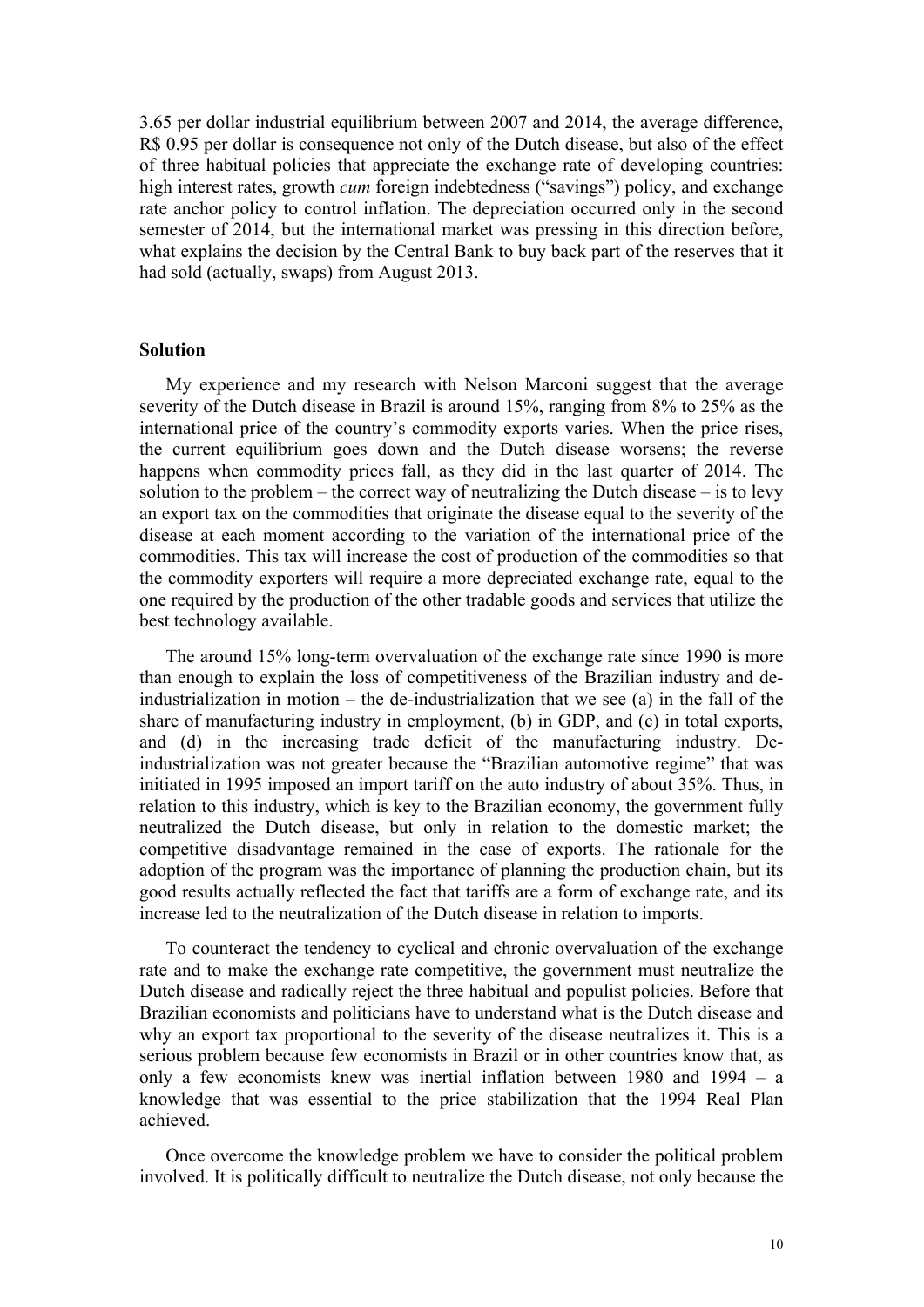3.65 per dollar industrial equilibrium between 2007 and 2014, the average difference, R\$ 0.95 per dollar is consequence not only of the Dutch disease, but also of the effect of three habitual policies that appreciate the exchange rate of developing countries: high interest rates, growth *cum* foreign indebtedness ("savings") policy, and exchange rate anchor policy to control inflation. The depreciation occurred only in the second semester of 2014, but the international market was pressing in this direction before, what explains the decision by the Central Bank to buy back part of the reserves that it had sold (actually, swaps) from August 2013.

# **Solution**

My experience and my research with Nelson Marconi suggest that the average severity of the Dutch disease in Brazil is around 15%, ranging from 8% to 25% as the international price of the country's commodity exports varies. When the price rises, the current equilibrium goes down and the Dutch disease worsens; the reverse happens when commodity prices fall, as they did in the last quarter of 2014. The solution to the problem – the correct way of neutralizing the Dutch disease – is to levy an export tax on the commodities that originate the disease equal to the severity of the disease at each moment according to the variation of the international price of the commodities. This tax will increase the cost of production of the commodities so that the commodity exporters will require a more depreciated exchange rate, equal to the one required by the production of the other tradable goods and services that utilize the best technology available.

The around 15% long-term overvaluation of the exchange rate since 1990 is more than enough to explain the loss of competitiveness of the Brazilian industry and deindustrialization in motion – the de-industrialization that we see (a) in the fall of the share of manufacturing industry in employment, (b) in GDP, and (c) in total exports, and (d) in the increasing trade deficit of the manufacturing industry. Deindustrialization was not greater because the "Brazilian automotive regime" that was initiated in 1995 imposed an import tariff on the auto industry of about 35%. Thus, in relation to this industry, which is key to the Brazilian economy, the government fully neutralized the Dutch disease, but only in relation to the domestic market; the competitive disadvantage remained in the case of exports. The rationale for the adoption of the program was the importance of planning the production chain, but its good results actually reflected the fact that tariffs are a form of exchange rate, and its increase led to the neutralization of the Dutch disease in relation to imports.

To counteract the tendency to cyclical and chronic overvaluation of the exchange rate and to make the exchange rate competitive, the government must neutralize the Dutch disease and radically reject the three habitual and populist policies. Before that Brazilian economists and politicians have to understand what is the Dutch disease and why an export tax proportional to the severity of the disease neutralizes it. This is a serious problem because few economists in Brazil or in other countries know that, as only a few economists knew was inertial inflation between 1980 and 1994 – a knowledge that was essential to the price stabilization that the 1994 Real Plan achieved.

Once overcome the knowledge problem we have to consider the political problem involved. It is politically difficult to neutralize the Dutch disease, not only because the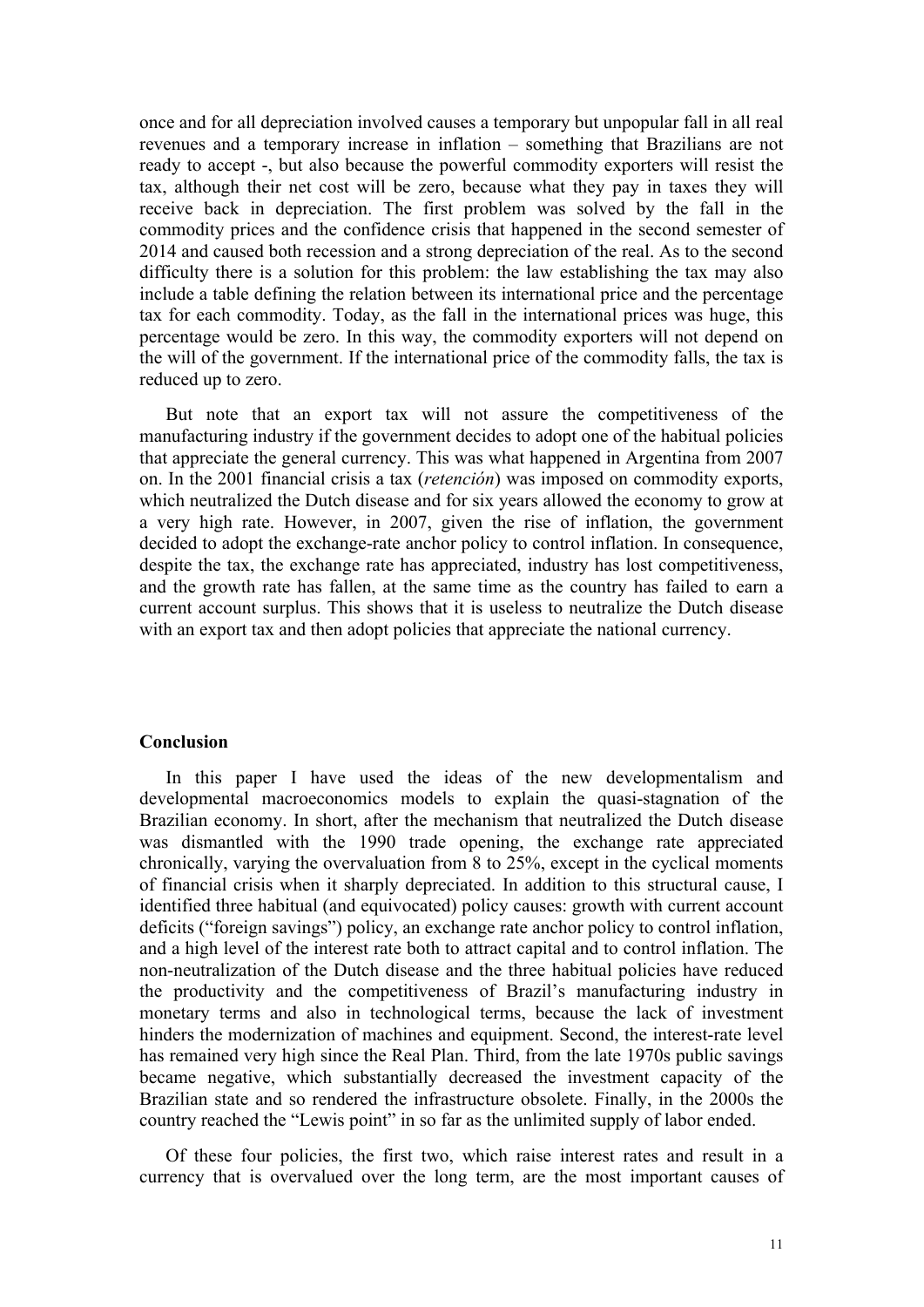once and for all depreciation involved causes a temporary but unpopular fall in all real revenues and a temporary increase in inflation – something that Brazilians are not ready to accept -, but also because the powerful commodity exporters will resist the tax, although their net cost will be zero, because what they pay in taxes they will receive back in depreciation. The first problem was solved by the fall in the commodity prices and the confidence crisis that happened in the second semester of 2014 and caused both recession and a strong depreciation of the real. As to the second difficulty there is a solution for this problem: the law establishing the tax may also include a table defining the relation between its international price and the percentage tax for each commodity. Today, as the fall in the international prices was huge, this percentage would be zero. In this way, the commodity exporters will not depend on the will of the government. If the international price of the commodity falls, the tax is reduced up to zero.

But note that an export tax will not assure the competitiveness of the manufacturing industry if the government decides to adopt one of the habitual policies that appreciate the general currency. This was what happened in Argentina from 2007 on. In the 2001 financial crisis a tax (*retención*) was imposed on commodity exports, which neutralized the Dutch disease and for six years allowed the economy to grow at a very high rate. However, in 2007, given the rise of inflation, the government decided to adopt the exchange-rate anchor policy to control inflation. In consequence, despite the tax, the exchange rate has appreciated, industry has lost competitiveness, and the growth rate has fallen, at the same time as the country has failed to earn a current account surplus. This shows that it is useless to neutralize the Dutch disease with an export tax and then adopt policies that appreciate the national currency.

# **Conclusion**

In this paper I have used the ideas of the new developmentalism and developmental macroeconomics models to explain the quasi-stagnation of the Brazilian economy. In short, after the mechanism that neutralized the Dutch disease was dismantled with the 1990 trade opening, the exchange rate appreciated chronically, varying the overvaluation from 8 to 25%, except in the cyclical moments of financial crisis when it sharply depreciated. In addition to this structural cause, I identified three habitual (and equivocated) policy causes: growth with current account deficits ("foreign savings") policy, an exchange rate anchor policy to control inflation, and a high level of the interest rate both to attract capital and to control inflation. The non-neutralization of the Dutch disease and the three habitual policies have reduced the productivity and the competitiveness of Brazil's manufacturing industry in monetary terms and also in technological terms, because the lack of investment hinders the modernization of machines and equipment. Second, the interest-rate level has remained very high since the Real Plan. Third, from the late 1970s public savings became negative, which substantially decreased the investment capacity of the Brazilian state and so rendered the infrastructure obsolete. Finally, in the 2000s the country reached the "Lewis point" in so far as the unlimited supply of labor ended.

Of these four policies, the first two, which raise interest rates and result in a currency that is overvalued over the long term, are the most important causes of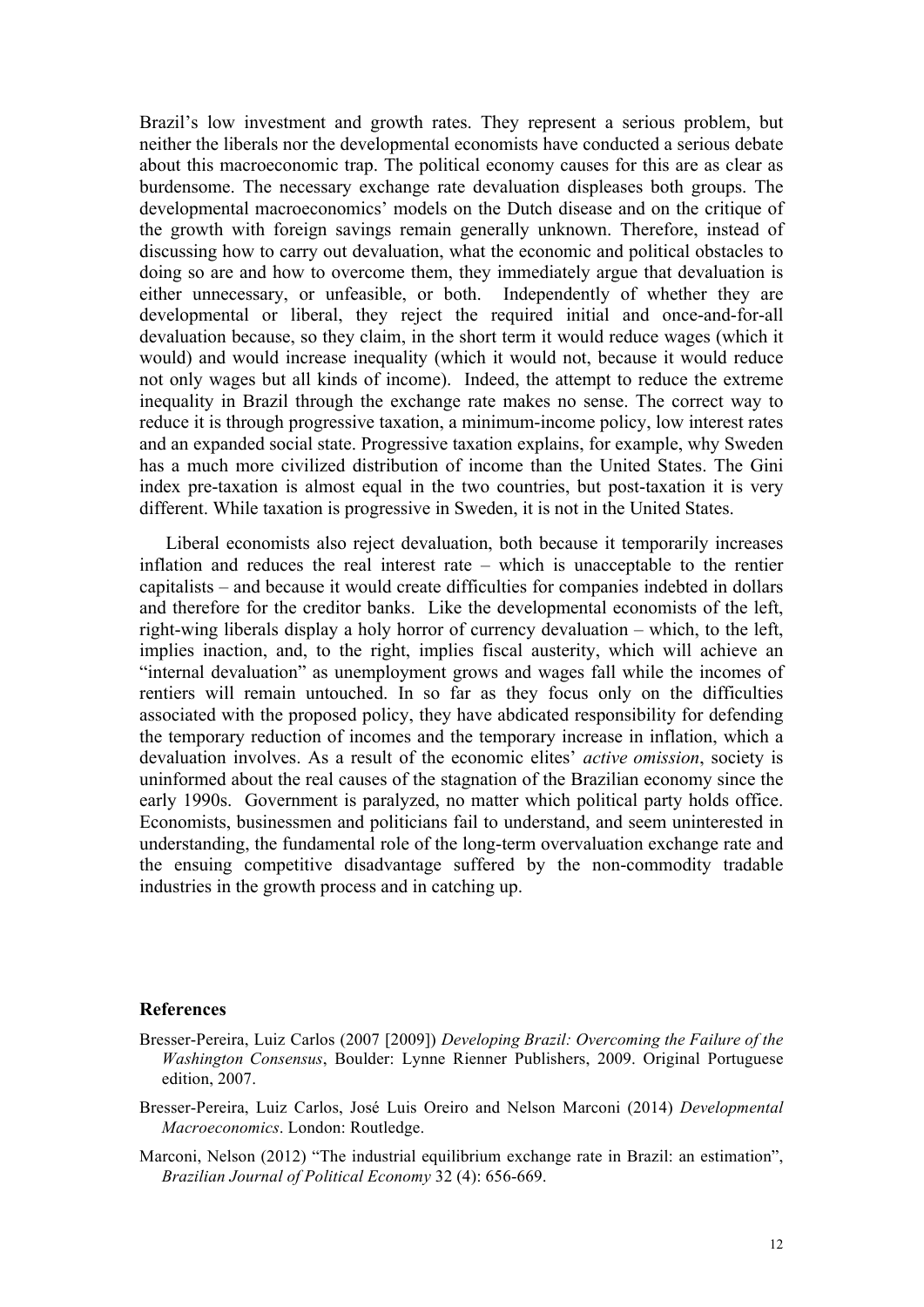Brazil's low investment and growth rates. They represent a serious problem, but neither the liberals nor the developmental economists have conducted a serious debate about this macroeconomic trap. The political economy causes for this are as clear as burdensome. The necessary exchange rate devaluation displeases both groups. The developmental macroeconomics' models on the Dutch disease and on the critique of the growth with foreign savings remain generally unknown. Therefore, instead of discussing how to carry out devaluation, what the economic and political obstacles to doing so are and how to overcome them, they immediately argue that devaluation is either unnecessary, or unfeasible, or both. Independently of whether they are developmental or liberal, they reject the required initial and once-and-for-all devaluation because, so they claim, in the short term it would reduce wages (which it would) and would increase inequality (which it would not, because it would reduce not only wages but all kinds of income). Indeed, the attempt to reduce the extreme inequality in Brazil through the exchange rate makes no sense. The correct way to reduce it is through progressive taxation, a minimum-income policy, low interest rates and an expanded social state. Progressive taxation explains, for example, why Sweden has a much more civilized distribution of income than the United States. The Gini index pre-taxation is almost equal in the two countries, but post-taxation it is very different. While taxation is progressive in Sweden, it is not in the United States.

Liberal economists also reject devaluation, both because it temporarily increases inflation and reduces the real interest rate – which is unacceptable to the rentier capitalists – and because it would create difficulties for companies indebted in dollars and therefore for the creditor banks. Like the developmental economists of the left, right-wing liberals display a holy horror of currency devaluation – which, to the left, implies inaction, and, to the right, implies fiscal austerity, which will achieve an "internal devaluation" as unemployment grows and wages fall while the incomes of rentiers will remain untouched. In so far as they focus only on the difficulties associated with the proposed policy, they have abdicated responsibility for defending the temporary reduction of incomes and the temporary increase in inflation, which a devaluation involves. As a result of the economic elites' *active omission*, society is uninformed about the real causes of the stagnation of the Brazilian economy since the early 1990s. Government is paralyzed, no matter which political party holds office. Economists, businessmen and politicians fail to understand, and seem uninterested in understanding, the fundamental role of the long-term overvaluation exchange rate and the ensuing competitive disadvantage suffered by the non-commodity tradable industries in the growth process and in catching up.

#### **References**

- Bresser-Pereira, Luiz Carlos (2007 [2009]) *Developing Brazil: Overcoming the Failure of the Washington Consensus*, Boulder: Lynne Rienner Publishers, 2009. Original Portuguese edition, 2007.
- Bresser-Pereira, Luiz Carlos, José Luis Oreiro and Nelson Marconi (2014) *Developmental Macroeconomics*. London: Routledge.
- Marconi, Nelson (2012) "The industrial equilibrium exchange rate in Brazil: an estimation", *Brazilian Journal of Political Economy* 32 (4): 656-669.